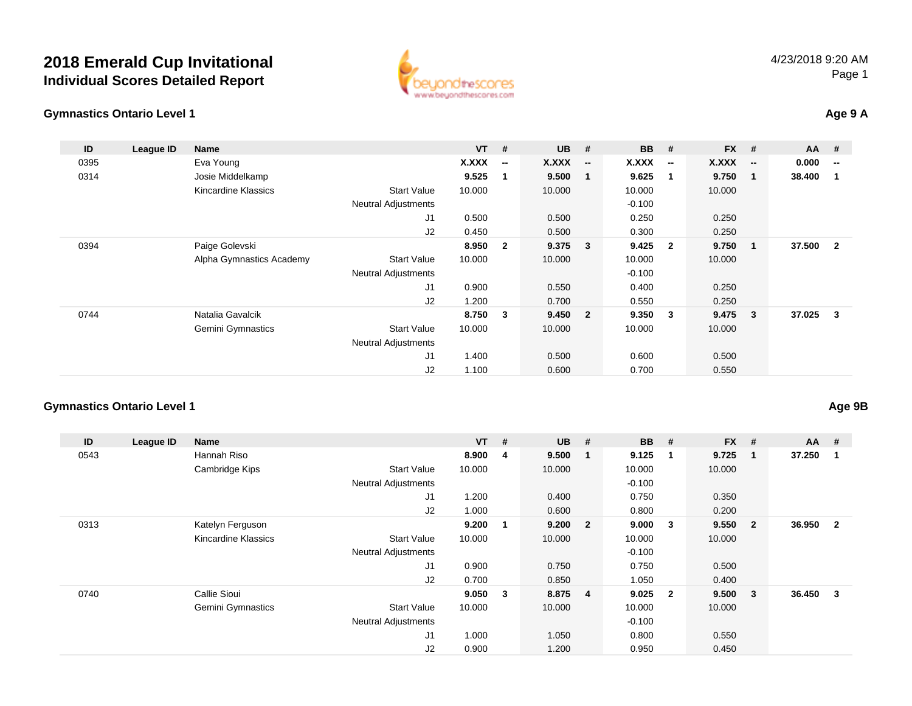## **2018 Emerald Cup Invitational Individual Scores Detailed Report**



### **Gymnastics Ontario Level 1**

## **Age 9 A**

| ID   | League ID | <b>Name</b>              |                            | $VT$ # |                          | <b>UB</b> | #                        | <b>BB</b>    | #                        | <b>FX</b> | #                        | <b>AA</b> | - #                      |
|------|-----------|--------------------------|----------------------------|--------|--------------------------|-----------|--------------------------|--------------|--------------------------|-----------|--------------------------|-----------|--------------------------|
| 0395 |           | Eva Young                |                            | X.XXX  | $\overline{\phantom{a}}$ | X.XXX     | $\overline{\phantom{a}}$ | <b>X.XXX</b> | $\overline{\phantom{a}}$ | X.XXX     | $\overline{\phantom{a}}$ | 0.000     | $\overline{\phantom{a}}$ |
| 0314 |           | Josie Middelkamp         |                            | 9.525  | 1                        | 9.500     | -1                       | 9.625        | $\overline{1}$           | 9.750     | $\overline{\mathbf{1}}$  | 38.400    | -1                       |
|      |           | Kincardine Klassics      | <b>Start Value</b>         | 10.000 |                          | 10.000    |                          | 10.000       |                          | 10.000    |                          |           |                          |
|      |           |                          | <b>Neutral Adjustments</b> |        |                          |           |                          | $-0.100$     |                          |           |                          |           |                          |
|      |           |                          | J1                         | 0.500  |                          | 0.500     |                          | 0.250        |                          | 0.250     |                          |           |                          |
|      |           |                          | J2                         | 0.450  |                          | 0.500     |                          | 0.300        |                          | 0.250     |                          |           |                          |
| 0394 |           | Paige Golevski           |                            | 8.950  | $\overline{2}$           | $9.375$ 3 |                          | 9.425        | $\overline{\mathbf{2}}$  | 9.750     | $\overline{\mathbf{1}}$  | 37.500    | $\overline{\mathbf{2}}$  |
|      |           | Alpha Gymnastics Academy | <b>Start Value</b>         | 10.000 |                          | 10.000    |                          | 10.000       |                          | 10.000    |                          |           |                          |
|      |           |                          | <b>Neutral Adjustments</b> |        |                          |           |                          | $-0.100$     |                          |           |                          |           |                          |
|      |           |                          | J1                         | 0.900  |                          | 0.550     |                          | 0.400        |                          | 0.250     |                          |           |                          |
|      |           |                          | J2                         | 1.200  |                          | 0.700     |                          | 0.550        |                          | 0.250     |                          |           |                          |
| 0744 |           | Natalia Gavalcik         |                            | 8.750  | 3                        | 9.450     | $\overline{2}$           | 9.350        | $\mathbf{3}$             | 9.475     | $\overline{\mathbf{3}}$  | 37.025    | $\mathbf{3}$             |
|      |           | <b>Gemini Gymnastics</b> | <b>Start Value</b>         | 10.000 |                          | 10.000    |                          | 10.000       |                          | 10.000    |                          |           |                          |
|      |           |                          | <b>Neutral Adjustments</b> |        |                          |           |                          |              |                          |           |                          |           |                          |
|      |           |                          | J1                         | 1.400  |                          | 0.500     |                          | 0.600        |                          | 0.500     |                          |           |                          |
|      |           |                          | J2                         | 1.100  |                          | 0.600     |                          | 0.700        |                          | 0.550     |                          |           |                          |

www.beyondthescores.com

### **Gymnastics Ontario Level 1**

**Age 9B**

| ID   | League ID | Name                |                            | $VT$ # |                | <b>UB</b> | #                       | <b>BB</b> | #                       | <b>FX</b> | #              | $AA$ # |                         |
|------|-----------|---------------------|----------------------------|--------|----------------|-----------|-------------------------|-----------|-------------------------|-----------|----------------|--------|-------------------------|
| 0543 |           | Hannah Riso         |                            | 8.900  | $\overline{4}$ | 9.500     | $\blacksquare$          | 9.125     | -1                      | 9.725     | -1             | 37.250 |                         |
|      |           | Cambridge Kips      | <b>Start Value</b>         | 10.000 |                | 10.000    |                         | 10.000    |                         | 10.000    |                |        |                         |
|      |           |                     | <b>Neutral Adjustments</b> |        |                |           |                         | $-0.100$  |                         |           |                |        |                         |
|      |           |                     | J <sub>1</sub>             | 1.200  |                | 0.400     |                         | 0.750     |                         | 0.350     |                |        |                         |
|      |           |                     | J2                         | 1.000  |                | 0.600     |                         | 0.800     |                         | 0.200     |                |        |                         |
| 0313 |           | Katelyn Ferguson    |                            | 9.200  | 1              | 9.200     | $\overline{\mathbf{2}}$ | 9.000     | $\mathbf{3}$            | 9.550     | $\overline{2}$ | 36.950 | $\overline{\mathbf{2}}$ |
|      |           | Kincardine Klassics | <b>Start Value</b>         | 10.000 |                | 10.000    |                         | 10.000    |                         | 10.000    |                |        |                         |
|      |           |                     | <b>Neutral Adjustments</b> |        |                |           |                         | $-0.100$  |                         |           |                |        |                         |
|      |           |                     | J <sub>1</sub>             | 0.900  |                | 0.750     |                         | 0.750     |                         | 0.500     |                |        |                         |
|      |           |                     | J2                         | 0.700  |                | 0.850     |                         | 1.050     |                         | 0.400     |                |        |                         |
| 0740 |           | Callie Sioui        |                            | 9.050  | $\mathbf{3}$   | 8.875     | $\overline{4}$          | 9.025     | $\overline{\mathbf{2}}$ | 9.500     | 3              | 36.450 | $\mathbf{3}$            |
|      |           | Gemini Gymnastics   | <b>Start Value</b>         | 10.000 |                | 10.000    |                         | 10.000    |                         | 10.000    |                |        |                         |
|      |           |                     | <b>Neutral Adjustments</b> |        |                |           |                         | $-0.100$  |                         |           |                |        |                         |
|      |           |                     | J <sub>1</sub>             | 1.000  |                | 1.050     |                         | 0.800     |                         | 0.550     |                |        |                         |
|      |           |                     | J <sub>2</sub>             | 0.900  |                | 1.200     |                         | 0.950     |                         | 0.450     |                |        |                         |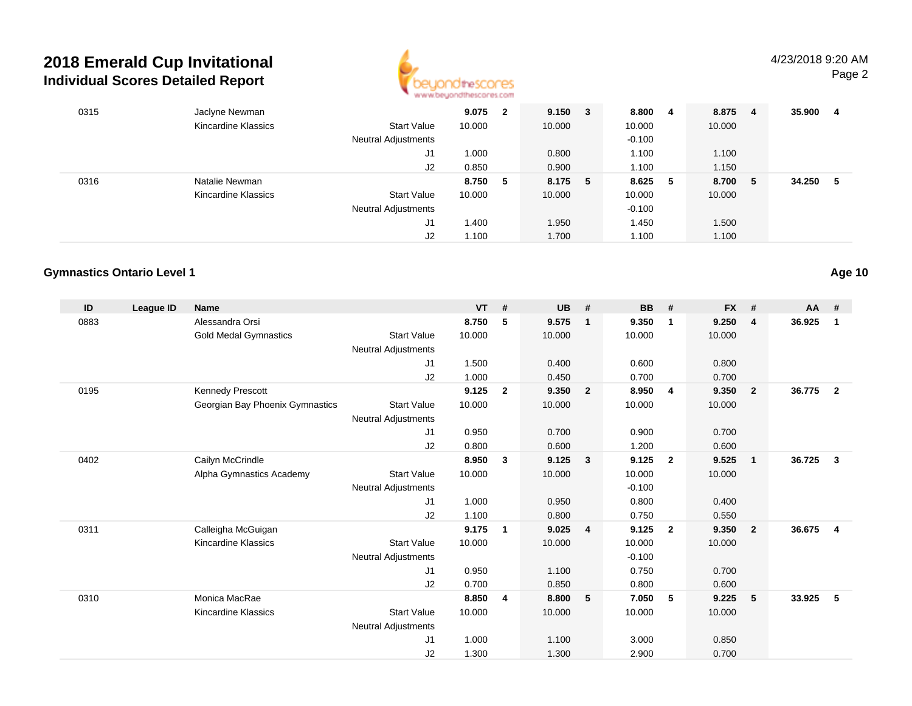# **2018 Emerald Cup Invitational Individual Scores Detailed Report**



# 4/23/2018 9:20 AM

Page 2

| 0315 | Jaclyne Newman      |                            | 9.075  | $\mathbf{2}$ | $9.150 \t3$ | 8.800    | 4   | 8.875  | $\overline{4}$ | 35.900 | 4  |
|------|---------------------|----------------------------|--------|--------------|-------------|----------|-----|--------|----------------|--------|----|
|      | Kincardine Klassics | <b>Start Value</b>         | 10.000 |              | 10.000      | 10.000   |     | 10.000 |                |        |    |
|      |                     | <b>Neutral Adjustments</b> |        |              |             | $-0.100$ |     |        |                |        |    |
|      |                     | J1                         | 1.000  |              | 0.800       | 1.100    |     | 1.100  |                |        |    |
|      |                     | J2                         | 0.850  |              | 0.900       | 1.100    |     | 1.150  |                |        |    |
| 0316 | Natalie Newman      |                            | 8.750  | -5           | 8.175 5     | 8.625    | - 5 | 8.700  | - 5            | 34.250 | -5 |
|      | Kincardine Klassics | <b>Start Value</b>         | 10.000 |              | 10.000      | 10.000   |     | 10.000 |                |        |    |
|      |                     | <b>Neutral Adjustments</b> |        |              |             | $-0.100$ |     |        |                |        |    |
|      |                     | J1                         | 1.400  |              | 1.950       | 1.450    |     | 1.500  |                |        |    |
|      |                     | J2                         | 1.100  |              | 1.700       | 1.100    |     | 1.100  |                |        |    |

### **Gymnastics Ontario Level 1**

| ID   | League ID | Name                            |                            | <b>VT</b> | #              | <b>UB</b> | #                       | BB       | #                       | <b>FX</b> | #                       | $AA$ # |                         |
|------|-----------|---------------------------------|----------------------------|-----------|----------------|-----------|-------------------------|----------|-------------------------|-----------|-------------------------|--------|-------------------------|
| 0883 |           | Alessandra Orsi                 |                            | 8.750     | 5              | 9.575     | $\overline{1}$          | 9.350    | $\overline{1}$          | 9.250     | $\overline{\mathbf{4}}$ | 36.925 | 1                       |
|      |           | <b>Gold Medal Gymnastics</b>    | <b>Start Value</b>         | 10.000    |                | 10.000    |                         | 10.000   |                         | 10.000    |                         |        |                         |
|      |           |                                 | <b>Neutral Adjustments</b> |           |                |           |                         |          |                         |           |                         |        |                         |
|      |           |                                 | J1                         | 1.500     |                | 0.400     |                         | 0.600    |                         | 0.800     |                         |        |                         |
|      |           |                                 | J2                         | 1.000     |                | 0.450     |                         | 0.700    |                         | 0.700     |                         |        |                         |
| 0195 |           | Kennedy Prescott                |                            | 9.125     | $\overline{2}$ | 9.350     | $\overline{\mathbf{2}}$ | 8.950    | $\overline{4}$          | 9.350     | $\overline{2}$          | 36.775 | $\overline{\mathbf{2}}$ |
|      |           | Georgian Bay Phoenix Gymnastics | <b>Start Value</b>         | 10.000    |                | 10.000    |                         | 10.000   |                         | 10.000    |                         |        |                         |
|      |           |                                 | <b>Neutral Adjustments</b> |           |                |           |                         |          |                         |           |                         |        |                         |
|      |           |                                 | J1                         | 0.950     |                | 0.700     |                         | 0.900    |                         | 0.700     |                         |        |                         |
|      |           |                                 | J2                         | 0.800     |                | 0.600     |                         | 1.200    |                         | 0.600     |                         |        |                         |
| 0402 |           | Cailyn McCrindle                |                            | 8.950     | 3              | 9.125     | $\overline{\mathbf{3}}$ | 9.125    | $\overline{\mathbf{2}}$ | 9.525     | $\mathbf{1}$            | 36.725 | $\mathbf{3}$            |
|      |           | Alpha Gymnastics Academy        | <b>Start Value</b>         | 10.000    |                | 10.000    |                         | 10.000   |                         | 10.000    |                         |        |                         |
|      |           |                                 | <b>Neutral Adjustments</b> |           |                |           |                         | $-0.100$ |                         |           |                         |        |                         |
|      |           |                                 | J1                         | 1.000     |                | 0.950     |                         | 0.800    |                         | 0.400     |                         |        |                         |
|      |           |                                 | J2                         | 1.100     |                | 0.800     |                         | 0.750    |                         | 0.550     |                         |        |                         |
| 0311 |           | Calleigha McGuigan              |                            | 9.175     | $\mathbf{1}$   | 9.025     | $\overline{4}$          | 9.125    | $\overline{\mathbf{2}}$ | 9.350     | $\overline{2}$          | 36.675 | $\overline{4}$          |
|      |           | Kincardine Klassics             | <b>Start Value</b>         | 10.000    |                | 10.000    |                         | 10.000   |                         | 10.000    |                         |        |                         |
|      |           |                                 | <b>Neutral Adjustments</b> |           |                |           |                         | $-0.100$ |                         |           |                         |        |                         |
|      |           |                                 | J1                         | 0.950     |                | 1.100     |                         | 0.750    |                         | 0.700     |                         |        |                         |
|      |           |                                 | J2                         | 0.700     |                | 0.850     |                         | 0.800    |                         | 0.600     |                         |        |                         |
| 0310 |           | Monica MacRae                   |                            | 8.850     | 4              | 8.800     | 5                       | 7.050    | - 5                     | 9.225     | 5                       | 33.925 | 5                       |
|      |           | Kincardine Klassics             | <b>Start Value</b>         | 10.000    |                | 10.000    |                         | 10.000   |                         | 10.000    |                         |        |                         |
|      |           |                                 | <b>Neutral Adjustments</b> |           |                |           |                         |          |                         |           |                         |        |                         |
|      |           |                                 | J <sub>1</sub>             | 1.000     |                | 1.100     |                         | 3.000    |                         | 0.850     |                         |        |                         |
|      |           |                                 | J2                         | 1.300     |                | 1.300     |                         | 2.900    |                         | 0.700     |                         |        |                         |

**Age 10**